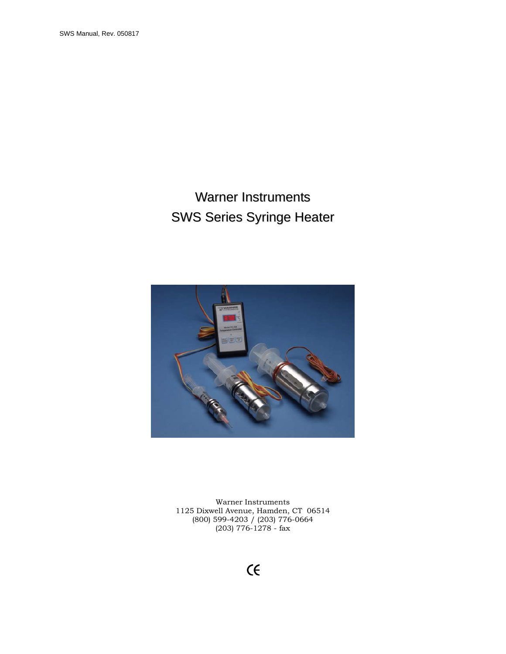# Warner Instruments SWS Series Syringe Heater



Warner Instruments 1125 Dixwell Avenue, Hamden, CT 06514 (800) 599-4203 / (203) 776-0664 (203) 776-1278 - fax

# $\epsilon$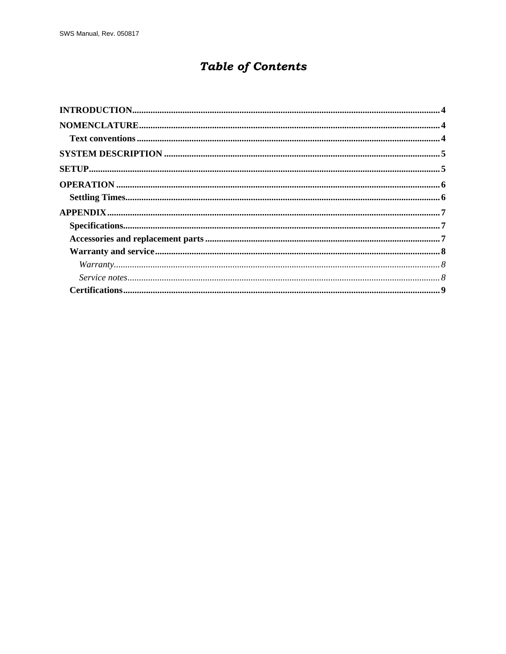## **Table of Contents**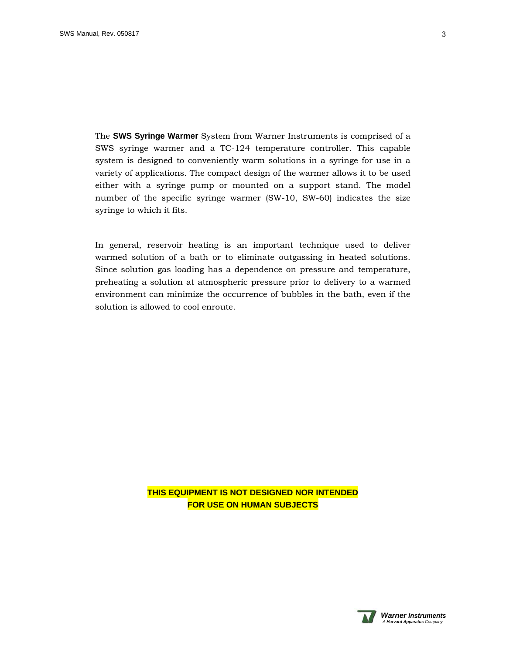The **SWS Syringe Warmer** System from Warner Instruments is comprised of a SWS syringe warmer and a TC-124 temperature controller. This capable system is designed to conveniently warm solutions in a syringe for use in a variety of applications. The compact design of the warmer allows it to be used either with a syringe pump or mounted on a support stand. The model number of the specific syringe warmer (SW-10, SW-60) indicates the size syringe to which it fits.

In general, reservoir heating is an important technique used to deliver warmed solution of a bath or to eliminate outgassing in heated solutions. Since solution gas loading has a dependence on pressure and temperature, preheating a solution at atmospheric pressure prior to delivery to a warmed environment can minimize the occurrence of bubbles in the bath, even if the solution is allowed to cool enroute.

> **THIS EQUIPMENT IS NOT DESIGNED NOR INTENDED FOR USE ON HUMAN SUBJECTS**



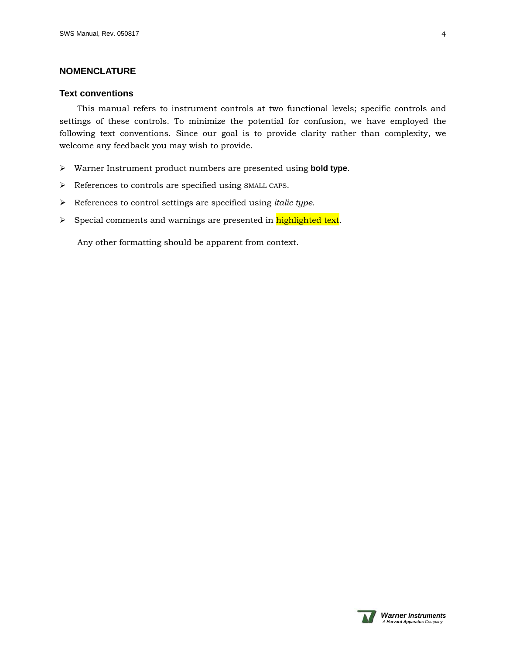## <span id="page-3-0"></span>**NOMENCLATURE**

### **Text conventions**

This manual refers to instrument controls at two functional levels; specific controls and settings of these controls. To minimize the potential for confusion, we have employed the following text conventions. Since our goal is to provide clarity rather than complexity, we welcome any feedback you may wish to provide.

- ¾ Warner Instrument product numbers are presented using **bold type**.
- $\blacktriangleright$  References to controls are specified using SMALL CAPS.
- ¾ References to control settings are specified using *italic type*.
- > Special comments and warnings are presented in highlighted text.

Any other formatting should be apparent from context.

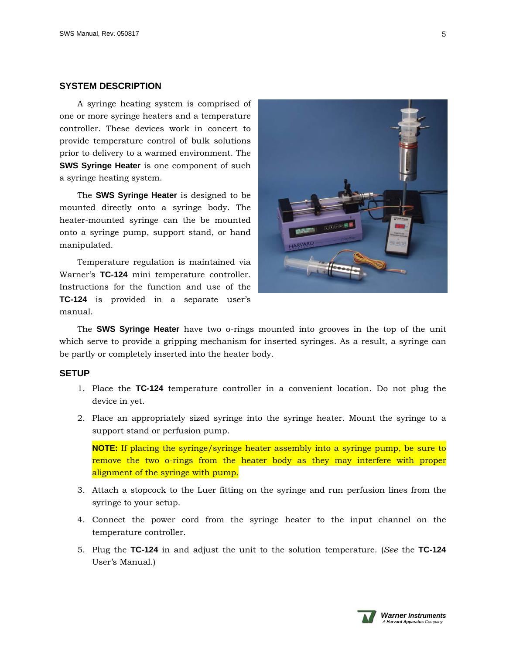## <span id="page-4-0"></span>**SYSTEM DESCRIPTION**

A syringe heating system is comprised of one or more syringe heaters and a temperature controller. These devices work in concert to provide temperature control of bulk solutions prior to delivery to a warmed environment. The **SWS Syringe Heater** is one component of such a syringe heating system.

The **SWS Syringe Heater** is designed to be mounted directly onto a syringe body. The heater-mounted syringe can the be mounted onto a syringe pump, support stand, or hand manipulated.

Temperature regulation is maintained via Warner's **TC-124** mini temperature controller. Instructions for the function and use of the **TC-124** is provided in a separate user's manual.



The **SWS Syringe Heater** have two o-rings mounted into grooves in the top of the unit which serve to provide a gripping mechanism for inserted syringes. As a result, a syringe can be partly or completely inserted into the heater body.

## **SETUP**

- 1. Place the **TC-124** temperature controller in a convenient location. Do not plug the device in yet.
- 2. Place an appropriately sized syringe into the syringe heater. Mount the syringe to a support stand or perfusion pump.

**NOTE:** If placing the syringe/syringe heater assembly into a syringe pump, be sure to remove the two o-rings from the heater body as they may interfere with proper alignment of the syringe with pump.

- 3. Attach a stopcock to the Luer fitting on the syringe and run perfusion lines from the syringe to your setup.
- 4. Connect the power cord from the syringe heater to the input channel on the temperature controller.
- 5. Plug the **TC-124** in and adjust the unit to the solution temperature. (*See* the **TC-124**  User's Manual.)



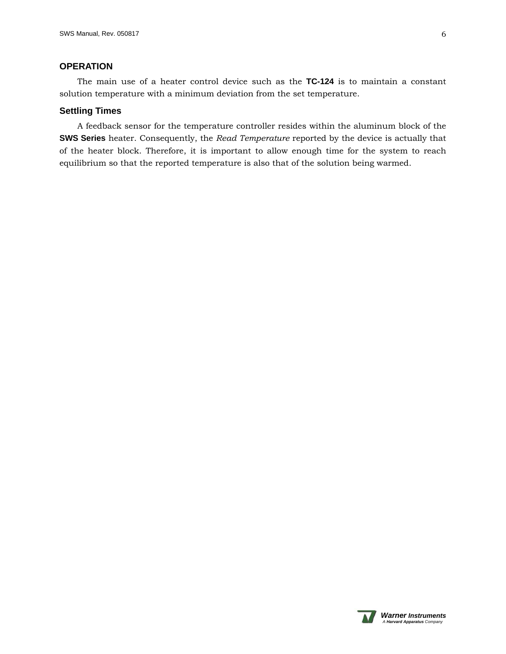## <span id="page-5-0"></span>**OPERATION**

The main use of a heater control device such as the **TC-124** is to maintain a constant solution temperature with a minimum deviation from the set temperature.

### **Settling Times**

A feedback sensor for the temperature controller resides within the aluminum block of the **SWS Series** heater. Consequently, the *Read Temperature* reported by the device is actually that of the heater block. Therefore, it is important to allow enough time for the system to reach equilibrium so that the reported temperature is also that of the solution being warmed.



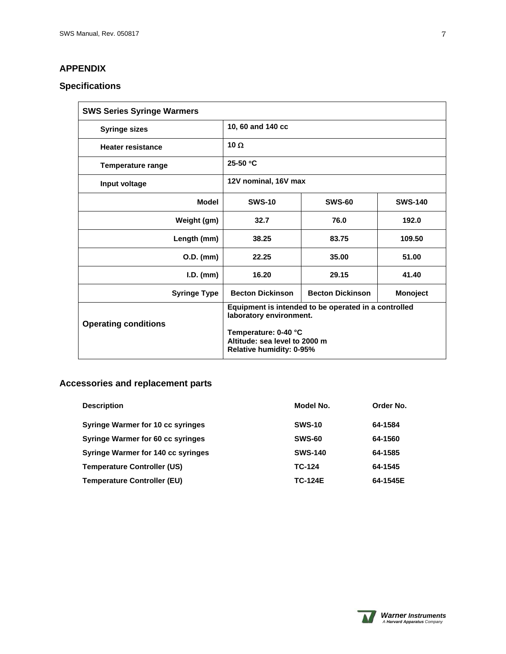## <span id="page-6-0"></span>**APPENDIX**

## **Specifications**

| <b>SWS Series Syringe Warmers</b> |                                                                                                                                                                      |                         |                |
|-----------------------------------|----------------------------------------------------------------------------------------------------------------------------------------------------------------------|-------------------------|----------------|
| <b>Syringe sizes</b>              | 10, 60 and 140 cc                                                                                                                                                    |                         |                |
| <b>Heater resistance</b>          | 10 Ω                                                                                                                                                                 |                         |                |
| Temperature range                 | $25-50$ °C                                                                                                                                                           |                         |                |
| Input voltage                     | 12V nominal, 16V max                                                                                                                                                 |                         |                |
| Model                             | <b>SWS-10</b>                                                                                                                                                        | <b>SWS-60</b>           | <b>SWS-140</b> |
| Weight (gm)                       | 32.7                                                                                                                                                                 | 76.0                    | 192.0          |
| Length (mm)                       | 38.25                                                                                                                                                                | 83.75                   | 109.50         |
| $O.D.$ (mm)                       | 22.25                                                                                                                                                                | 35.00                   | 51.00          |
| $I.D.$ (mm)                       | 16.20                                                                                                                                                                | 29.15                   | 41.40          |
| <b>Syringe Type</b>               | <b>Becton Dickinson</b>                                                                                                                                              | <b>Becton Dickinson</b> | Monoject       |
| <b>Operating conditions</b>       | Equipment is intended to be operated in a controlled<br>laboratory environment.<br>Temperature: 0-40 °C<br>Altitude: sea level to 2000 m<br>Relative humidity: 0-95% |                         |                |

## **Accessories and replacement parts**

| <b>Description</b>                        | Model No.      | Order No. |
|-------------------------------------------|----------------|-----------|
| Syringe Warmer for 10 cc syringes         | <b>SWS-10</b>  | 64-1584   |
| <b>Syringe Warmer for 60 cc syringes</b>  | <b>SWS-60</b>  | 64-1560   |
| <b>Syringe Warmer for 140 cc syringes</b> | <b>SWS-140</b> | 64-1585   |
| <b>Temperature Controller (US)</b>        | TC-124         | 64-1545   |
| <b>Temperature Controller (EU)</b>        | <b>TC-124E</b> | 64-1545E  |

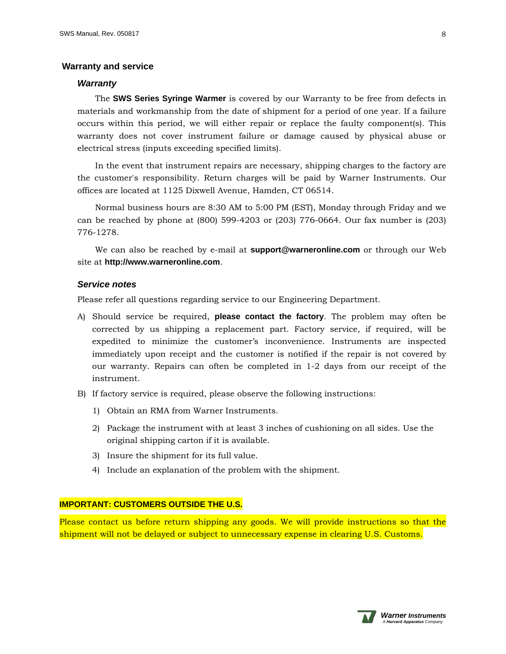#### <span id="page-7-0"></span> **Warranty and service**

#### *Warranty*

The **SWS Series Syringe Warmer** is covered by our Warranty to be free from defects in materials and workmanship from the date of shipment for a period of one year. If a failure occurs within this period, we will either repair or replace the faulty component(s). This warranty does not cover instrument failure or damage caused by physical abuse or electrical stress (inputs exceeding specified limits).

In the event that instrument repairs are necessary, shipping charges to the factory are the customer's responsibility. Return charges will be paid by Warner Instruments. Our offices are located at 1125 Dixwell Avenue, Hamden, CT 06514.

Normal business hours are 8:30 AM to 5:00 PM (EST), Monday through Friday and we can be reached by phone at (800) 599-4203 or (203) 776-0664. Our fax number is (203) 776-1278.

We can also be reached by e-mail at **support@warneronline.com** or through our Web site at **http://www.warneronline.com**.

## *Service notes*

Please refer all questions regarding service to our Engineering Department.

- A) Should service be required, **please contact the factory**. The problem may often be corrected by us shipping a replacement part. Factory service, if required, will be expedited to minimize the customer's inconvenience. Instruments are inspected immediately upon receipt and the customer is notified if the repair is not covered by our warranty. Repairs can often be completed in 1-2 days from our receipt of the instrument.
- B) If factory service is required, please observe the following instructions:
	- 1) Obtain an RMA from Warner Instruments.
	- 2) Package the instrument with at least 3 inches of cushioning on all sides. Use the original shipping carton if it is available.
	- 3) Insure the shipment for its full value.
	- 4) Include an explanation of the problem with the shipment.

## **IMPORTANT: CUSTOMERS OUTSIDE THE U.S.**

Please contact us before return shipping any goods. We will provide instructions so that the shipment will not be delayed or subject to unnecessary expense in clearing U.S. Customs.

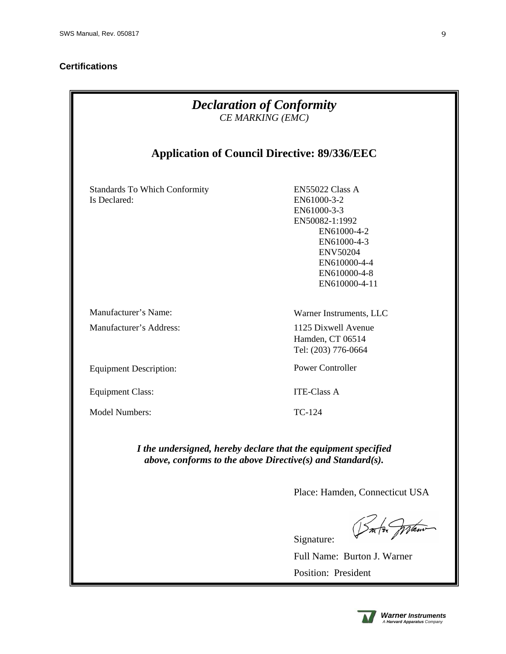## <span id="page-8-0"></span>**Certifications**

| <b>Declaration of Conformity</b><br>CE MARKING (EMC)                                                                                |                                                                                                                                                                   |  |  |
|-------------------------------------------------------------------------------------------------------------------------------------|-------------------------------------------------------------------------------------------------------------------------------------------------------------------|--|--|
| <b>Application of Council Directive: 89/336/EEC</b>                                                                                 |                                                                                                                                                                   |  |  |
| <b>Standards To Which Conformity</b><br>Is Declared:                                                                                | EN55022 Class A<br>EN61000-3-2<br>EN61000-3-3<br>EN50082-1:1992<br>EN61000-4-2<br>EN61000-4-3<br><b>ENV50204</b><br>EN610000-4-4<br>EN610000-4-8<br>EN610000-4-11 |  |  |
| Manufacturer's Name:                                                                                                                | Warner Instruments, LLC                                                                                                                                           |  |  |
| Manufacturer's Address:                                                                                                             | 1125 Dixwell Avenue<br>Hamden, CT 06514<br>Tel: (203) 776-0664                                                                                                    |  |  |
| <b>Equipment Description:</b>                                                                                                       | <b>Power Controller</b>                                                                                                                                           |  |  |
| <b>Equipment Class:</b>                                                                                                             | <b>ITE-Class A</b>                                                                                                                                                |  |  |
| <b>Model Numbers:</b>                                                                                                               | TC-124                                                                                                                                                            |  |  |
| I the undersigned, hereby declare that the equipment specified<br>above, conforms to the above Directive $(s)$ and Standard $(s)$ . |                                                                                                                                                                   |  |  |
|                                                                                                                                     | Place: Hamden, Connecticut USA                                                                                                                                    |  |  |
|                                                                                                                                     | Signature:                                                                                                                                                        |  |  |
|                                                                                                                                     | Full Name: Burton J. Warner                                                                                                                                       |  |  |
|                                                                                                                                     | Position: President                                                                                                                                               |  |  |

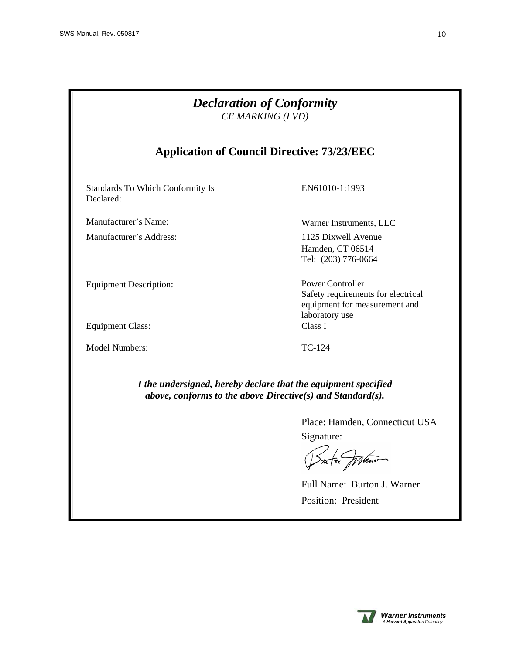| <b>Declaration of Conformity</b><br>CE MARKING (LVD)                                                                         |                                                                                                           |  |  |
|------------------------------------------------------------------------------------------------------------------------------|-----------------------------------------------------------------------------------------------------------|--|--|
| <b>Application of Council Directive: 73/23/EEC</b>                                                                           |                                                                                                           |  |  |
| <b>Standards To Which Conformity Is</b><br>Declared:                                                                         | EN61010-1:1993                                                                                            |  |  |
| Manufacturer's Name:                                                                                                         | Warner Instruments, LLC                                                                                   |  |  |
| Manufacturer's Address:                                                                                                      | 1125 Dixwell Avenue<br>Hamden, CT 06514<br>Tel: (203) 776-0664                                            |  |  |
| <b>Equipment Description:</b>                                                                                                | Power Controller<br>Safety requirements for electrical<br>equipment for measurement and<br>laboratory use |  |  |
| <b>Equipment Class:</b>                                                                                                      | Class I                                                                                                   |  |  |
| Model Numbers:                                                                                                               | $TC-124$                                                                                                  |  |  |
| I the undersigned, hereby declare that the equipment specified<br>above, conforms to the above Directive(s) and Standard(s). |                                                                                                           |  |  |

Place: Hamden, Connecticut USA Signature:

Into praw

Full Name: Burton J. Warner Position: President